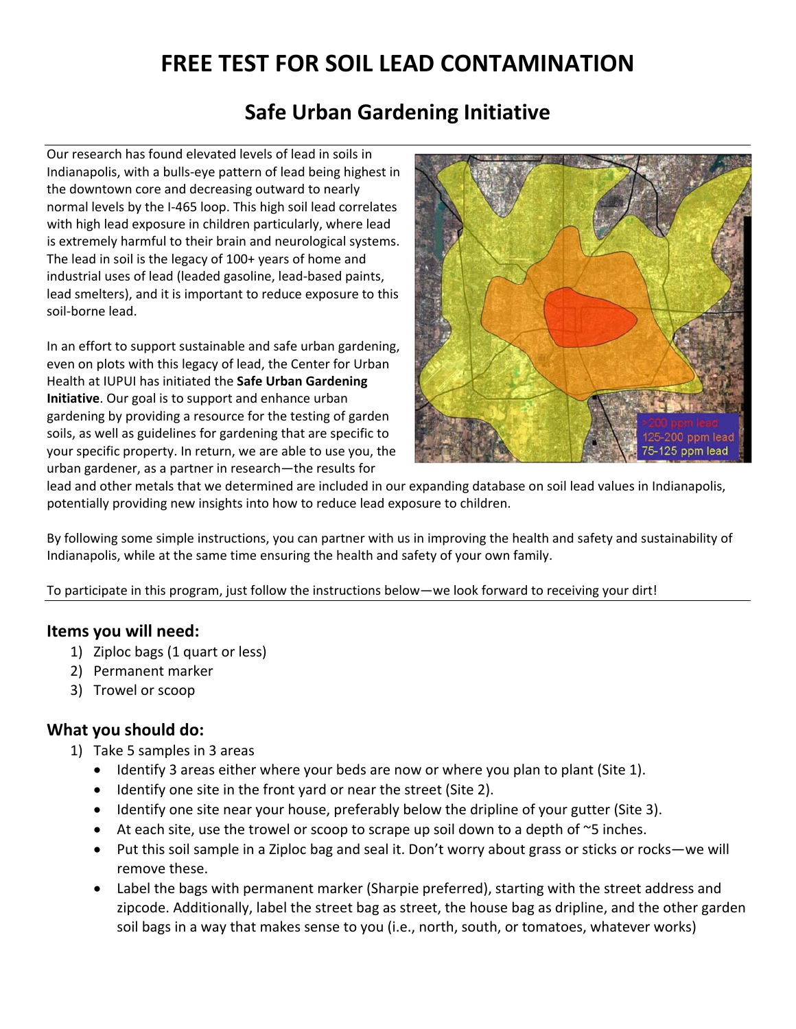# **FREE TEST FOR SOIL LEAD CONTAMINATION**

## **Safe Urban Gardening Initiative**

Our research has found elevated levels of lead in soils in Indianapolis, with a bulls‐eye pattern of lead being highest in the downtown core and decreasing outward to nearly normal levels by the I‐465 loop. This high soil lead correlates with high lead exposure in children particularly, where lead is extremely harmful to their brain and neurological systems. The lead in soil is the legacy of 100+ years of home and industrial uses of lead (leaded gasoline, lead‐based paints, lead smelters), and it is important to reduce exposure to this soil‐borne lead.

In an effort to support sustainable and safe urban gardening, even on plots with this legacy of lead, the Center for Urban Health at IUPUI has initiated the **Safe Urban Gardening Initiative**. Our goal is to support and enhance urban gardening by providing a resource for the testing of garden soils, as well as guidelines for gardening that are specific to your specific property. In return, we are able to use you, the urban gardener, as a partner in research—the results for



lead and other metals that we determined are included in our expanding database on soil lead values in Indianapolis, potentially providing new insights into how to reduce lead exposure to children.

By following some simple instructions, you can partner with us in improving the health and safety and sustainability of Indianapolis, while at the same time ensuring the health and safety of your own family.

To participate in this program, just follow the instructions below—we look forward to receiving your dirt!

#### **Items you will need:**

- 1) Ziploc bags (1 quart or less)
- 2) Permanent marker
- 3) Trowel or scoop

#### **What you should do:**

- 1) Take 5 samples in 3 areas
	- Identify 3 areas either where your beds are now or where you plan to plant (Site 1).
	- Identify one site in the front yard or near the street (Site 2).
	- Identify one site near your house, preferably below the dripline of your gutter (Site 3).
	- $\bullet$  At each site, use the trowel or scoop to scrape up soil down to a depth of  $\sim$ 5 inches.
	- Put this soil sample in a Ziploc bag and seal it. Don't worry about grass or sticks or rocks—we will remove these.
	- Label the bags with permanent marker (Sharpie preferred), starting with the street address and zipcode. Additionally, label the street bag as street, the house bag as dripline, and the other garden soil bags in a way that makes sense to you (i.e., north, south, or tomatoes, whatever works)